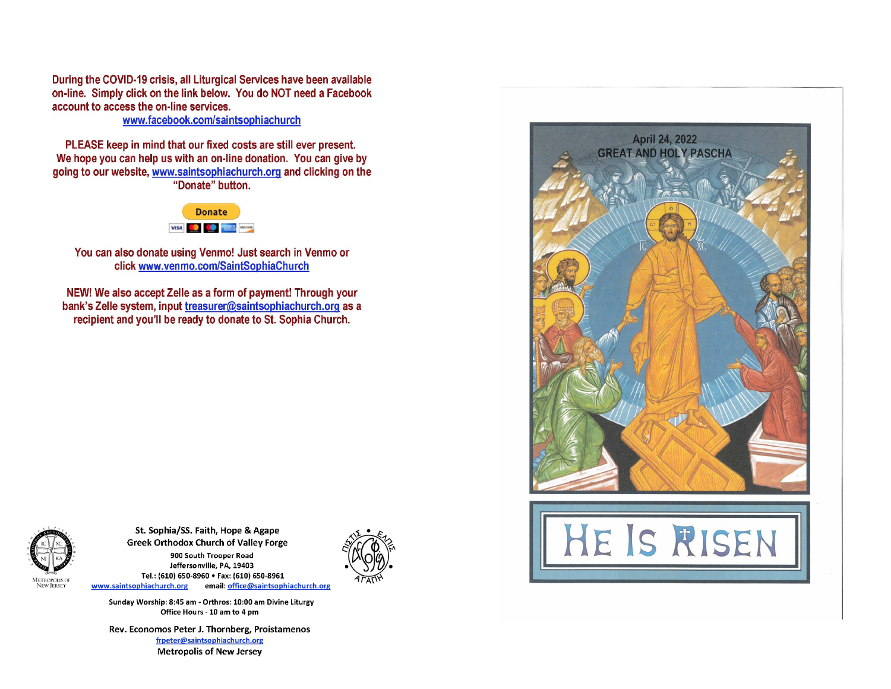During the COVID-19 crisis, all Liturgical Services have been available on-line. Simply click on the link below. You do NOT need a Facebook account to access the on-line services.

www.facebook.com/saintsophiachurch

PLEASE keep in mind that our fixed costs are still ever present. We hope you can help us with an on-line donation. You can give by going to our website, www.saintsophiachurch.org and clicking on the "Donate" button.



You can also donate using Venmo! Just search in Venmo or click www.venmo.com/SaintSophiaChurch

NEW! We also accept Zelle as a form of payment! Through your bank's Zelle system, input treasurer@saintsophiachurch.org as a recipient and you'll be ready to donate to St. Sophia Church.



St. Sophia/SS. Faith, Hope & Agape **Greek Orthodox Church of Valley Forge** 900 South Trooper Road Jeffersonville, PA, 19403 Tel.: (610) 650-8960 . Fax: (610) 650-8961 www.saintsophiachurch.org email: office@saintsophiachurch.org

Sunday Worship: 8:45 am - Orthros: 10:00 am Divine Liturgy Office Hours - 10 am to 4 pm

Rev. Economos Peter J. Thornberg, Proistamenos frpeter@saintsophiachurch.org **Metropolis of New Jersey**